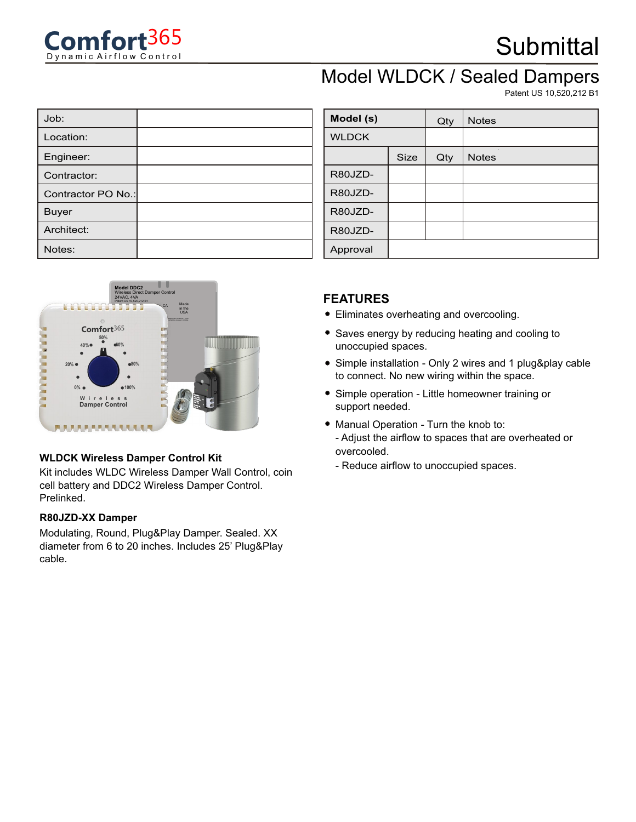

# **Submittal**

### Model WLDCK / Sealed Dampers

Patent US 10,520,212 B1

| Job:               |  |
|--------------------|--|
| Location:          |  |
| Engineer:          |  |
| Contractor:        |  |
| Contractor PO No.: |  |
| Buyer              |  |
| Architect:         |  |
| Notes:             |  |



#### **WLDCK Wireless Damper Control Kit**

Kit includes WLDC Wireless Damper Wall Control, coin cell battery and DDC2 Wireless Damper Control. Prelinked.

#### **R80JZD-XX Damper**

Modulating, Round, Plug&Play Damper. Sealed. XX diameter from 6 to 20 inches. Includes 25' Plug&Play cable.

| Model (s)    |             | Qty | <b>Notes</b> |
|--------------|-------------|-----|--------------|
| <b>WLDCK</b> |             |     |              |
|              | <b>Size</b> | Qty | <b>Notes</b> |
| R80JZD-      |             |     |              |
| R80JZD-      |             |     |              |
| R80JZD-      |             |     |              |
| R80JZD-      |             |     |              |
| Approval     |             |     |              |

#### **FEATURES**

- Eliminates overheating and overcooling.
- Saves energy by reducing heating and cooling to unoccupied spaces.
- Simple installation Only 2 wires and 1 plug&play cable to connect. No new wiring within the space.
- Simple operation Little homeowner training or support needed.
- Manual Operation Turn the knob to: - Adjust the airflow to spaces that are overheated or overcooled.
	- Reduce airflow to unoccupied spaces.